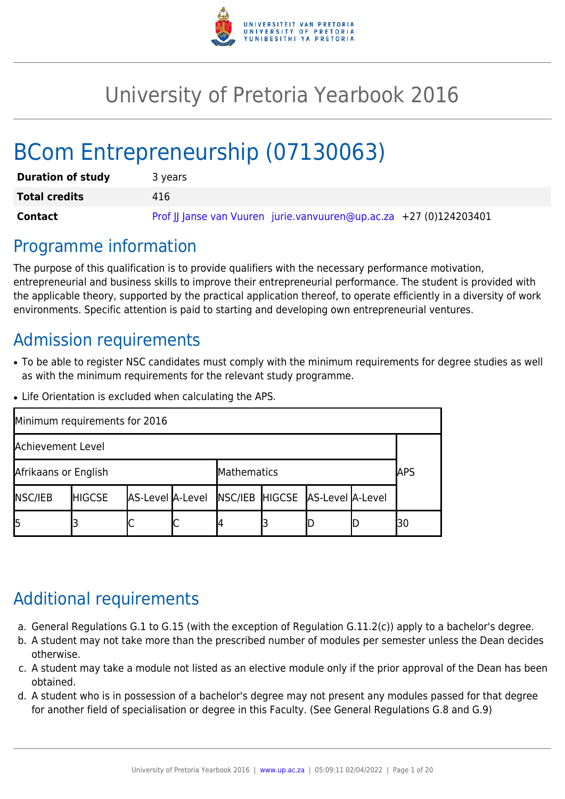

# University of Pretoria Yearbook 2016

# BCom Entrepreneurship (07130063)

| <b>Duration of study</b> | 3 years                                                            |
|--------------------------|--------------------------------------------------------------------|
| <b>Total credits</b>     | 416                                                                |
| Contact                  | Prof JJ Janse van Vuuren jurie.vanvuuren@up.ac.za +27 (0)124203401 |

### Programme information

The purpose of this qualification is to provide qualifiers with the necessary performance motivation, entrepreneurial and business skills to improve their entrepreneurial performance. The student is provided with the applicable theory, supported by the practical application thereof, to operate efficiently in a diversity of work environments. Specific attention is paid to starting and developing own entrepreneurial ventures.

### Admission requirements

- To be able to register NSC candidates must comply with the minimum requirements for degree studies as well as with the minimum requirements for the relevant study programme.
- Life Orientation is excluded when calculating the APS.

| Minimum requirements for 2016       |               |                  |   |                                 |            |  |    |
|-------------------------------------|---------------|------------------|---|---------------------------------|------------|--|----|
| Achievement Level                   |               |                  |   |                                 |            |  |    |
| Afrikaans or English<br>Mathematics |               |                  |   |                                 | <b>APS</b> |  |    |
| <b>NSC/IEB</b>                      | <b>HIGCSE</b> | AS-Level A-Level |   | NSC/IEB HIGCSE AS-Level A-Level |            |  |    |
| 15                                  |               |                  | ٮ |                                 |            |  | 30 |

# Additional requirements

- a. General Regulations G.1 to G.15 (with the exception of Regulation G.11.2(c)) apply to a bachelor's degree.
- b. A student may not take more than the prescribed number of modules per semester unless the Dean decides otherwise.
- c. A student may take a module not listed as an elective module only if the prior approval of the Dean has been obtained.
- d. A student who is in possession of a bachelor's degree may not present any modules passed for that degree for another field of specialisation or degree in this Faculty. (See General Regulations G.8 and G.9)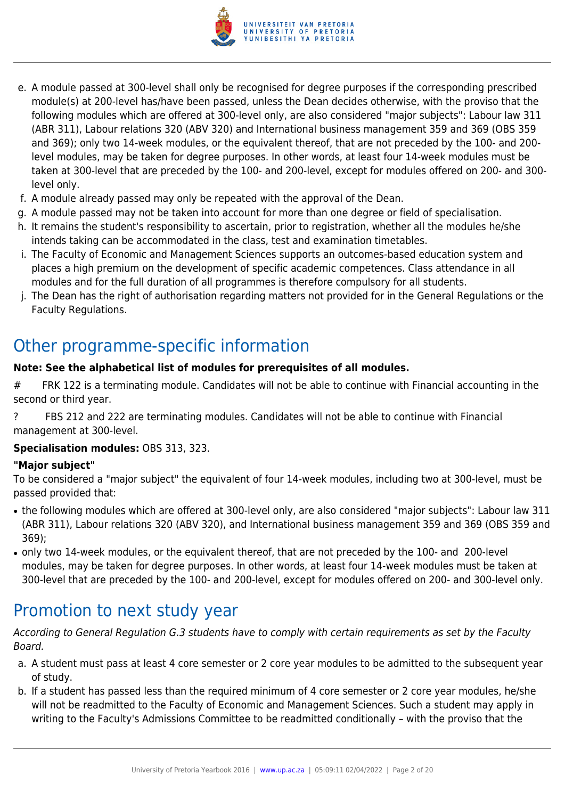

- e. A module passed at 300-level shall only be recognised for degree purposes if the corresponding prescribed module(s) at 200-level has/have been passed, unless the Dean decides otherwise, with the proviso that the following modules which are offered at 300-level only, are also considered "major subjects": Labour law 311 (ABR 311), Labour relations 320 (ABV 320) and International business management 359 and 369 (OBS 359 and 369); only two 14-week modules, or the equivalent thereof, that are not preceded by the 100- and 200 level modules, may be taken for degree purposes. In other words, at least four 14-week modules must be taken at 300-level that are preceded by the 100- and 200-level, except for modules offered on 200- and 300 level only.
- f. A module already passed may only be repeated with the approval of the Dean.
- g. A module passed may not be taken into account for more than one degree or field of specialisation.
- h. It remains the student's responsibility to ascertain, prior to registration, whether all the modules he/she intends taking can be accommodated in the class, test and examination timetables.
- i. The Faculty of Economic and Management Sciences supports an outcomes-based education system and places a high premium on the development of specific academic competences. Class attendance in all modules and for the full duration of all programmes is therefore compulsory for all students.
- j. The Dean has the right of authorisation regarding matters not provided for in the General Regulations or the Faculty Regulations.

# Other programme-specific information

### **Note: See the alphabetical list of modules for prerequisites of all modules.**

- # FRK 122 is a terminating module. Candidates will not be able to continue with Financial accounting in the second or third year.
- ? FBS 212 and 222 are terminating modules. Candidates will not be able to continue with Financial management at 300-level.

### **Specialisation modules:** OBS 313, 323.

### **"Major subject"**

To be considered a "major subject" the equivalent of four 14-week modules, including two at 300-level, must be passed provided that:

- the following modules which are offered at 300-level only, are also considered "major subjects": Labour law 311 (ABR 311), Labour relations 320 (ABV 320), and International business management 359 and 369 (OBS 359 and 369);
- only two 14-week modules, or the equivalent thereof, that are not preceded by the 100- and 200-level modules, may be taken for degree purposes. In other words, at least four 14-week modules must be taken at 300-level that are preceded by the 100- and 200-level, except for modules offered on 200- and 300-level only.

# Promotion to next study year

According to General Regulation G.3 students have to comply with certain requirements as set by the Faculty Board.

- a. A student must pass at least 4 core semester or 2 core year modules to be admitted to the subsequent year of study.
- b. If a student has passed less than the required minimum of 4 core semester or 2 core year modules, he/she will not be readmitted to the Faculty of Economic and Management Sciences. Such a student may apply in writing to the Faculty's Admissions Committee to be readmitted conditionally – with the proviso that the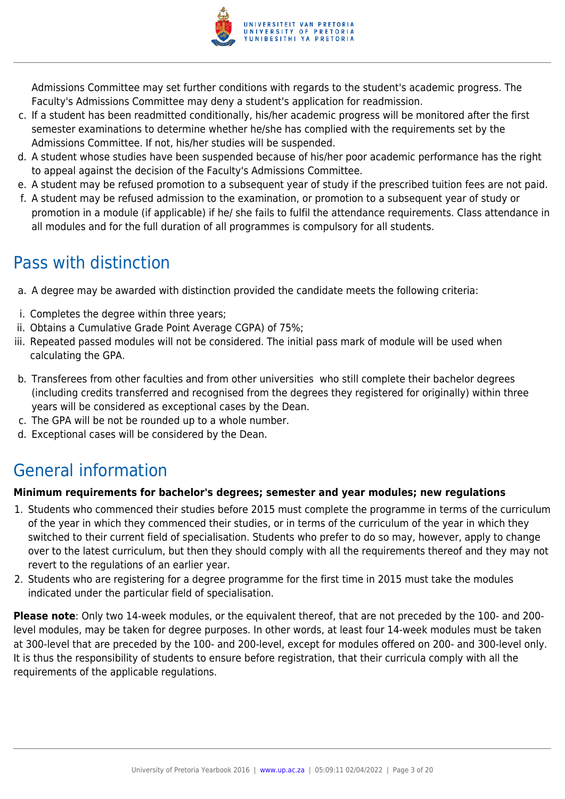

Admissions Committee may set further conditions with regards to the student's academic progress. The Faculty's Admissions Committee may deny a student's application for readmission.

- c. If a student has been readmitted conditionally, his/her academic progress will be monitored after the first semester examinations to determine whether he/she has complied with the requirements set by the Admissions Committee. If not, his/her studies will be suspended.
- d. A student whose studies have been suspended because of his/her poor academic performance has the right to appeal against the decision of the Faculty's Admissions Committee.
- e. A student may be refused promotion to a subsequent year of study if the prescribed tuition fees are not paid.
- f. A student may be refused admission to the examination, or promotion to a subsequent year of study or promotion in a module (if applicable) if he/ she fails to fulfil the attendance requirements. Class attendance in all modules and for the full duration of all programmes is compulsory for all students.

### Pass with distinction

- a. A degree may be awarded with distinction provided the candidate meets the following criteria:
- i. Completes the degree within three years;
- ii. Obtains a Cumulative Grade Point Average CGPA) of 75%;
- iii. Repeated passed modules will not be considered. The initial pass mark of module will be used when calculating the GPA.
- b. Transferees from other faculties and from other universities who still complete their bachelor degrees (including credits transferred and recognised from the degrees they registered for originally) within three years will be considered as exceptional cases by the Dean.
- c. The GPA will be not be rounded up to a whole number.
- d. Exceptional cases will be considered by the Dean.

# General information

### **Minimum requirements for bachelor's degrees; semester and year modules; new regulations**

- 1. Students who commenced their studies before 2015 must complete the programme in terms of the curriculum of the year in which they commenced their studies, or in terms of the curriculum of the year in which they switched to their current field of specialisation. Students who prefer to do so may, however, apply to change over to the latest curriculum, but then they should comply with all the requirements thereof and they may not revert to the regulations of an earlier year.
- 2. Students who are registering for a degree programme for the first time in 2015 must take the modules indicated under the particular field of specialisation.

**Please note**: Only two 14-week modules, or the equivalent thereof, that are not preceded by the 100- and 200 level modules, may be taken for degree purposes. In other words, at least four 14-week modules must be taken at 300-level that are preceded by the 100- and 200-level, except for modules offered on 200- and 300-level only. It is thus the responsibility of students to ensure before registration, that their curricula comply with all the requirements of the applicable regulations.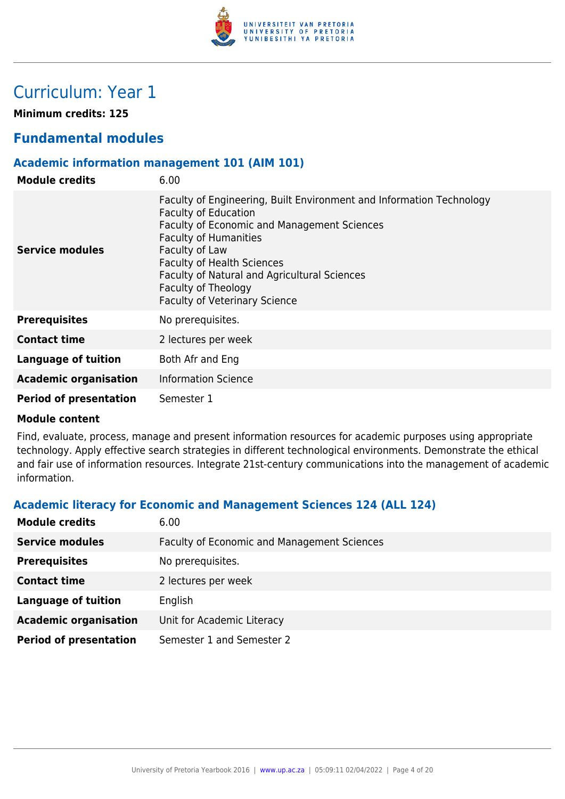

# Curriculum: Year 1

**Minimum credits: 125**

### **Fundamental modules**

### **Academic information management 101 (AIM 101)**

| <b>Module credits</b>         | 6.00                                                                                                                                                                                                                                                                                                                                                     |
|-------------------------------|----------------------------------------------------------------------------------------------------------------------------------------------------------------------------------------------------------------------------------------------------------------------------------------------------------------------------------------------------------|
| <b>Service modules</b>        | Faculty of Engineering, Built Environment and Information Technology<br><b>Faculty of Education</b><br>Faculty of Economic and Management Sciences<br><b>Faculty of Humanities</b><br>Faculty of Law<br><b>Faculty of Health Sciences</b><br>Faculty of Natural and Agricultural Sciences<br>Faculty of Theology<br><b>Faculty of Veterinary Science</b> |
| <b>Prerequisites</b>          | No prerequisites.                                                                                                                                                                                                                                                                                                                                        |
| <b>Contact time</b>           | 2 lectures per week                                                                                                                                                                                                                                                                                                                                      |
| Language of tuition           | Both Afr and Eng                                                                                                                                                                                                                                                                                                                                         |
| <b>Academic organisation</b>  | <b>Information Science</b>                                                                                                                                                                                                                                                                                                                               |
| <b>Period of presentation</b> | Semester 1                                                                                                                                                                                                                                                                                                                                               |

#### **Module content**

Find, evaluate, process, manage and present information resources for academic purposes using appropriate technology. Apply effective search strategies in different technological environments. Demonstrate the ethical and fair use of information resources. Integrate 21st-century communications into the management of academic information.

### **Academic literacy for Economic and Management Sciences 124 (ALL 124)**

| <b>Module credits</b>         | 6.00                                               |
|-------------------------------|----------------------------------------------------|
| <b>Service modules</b>        | <b>Faculty of Economic and Management Sciences</b> |
| <b>Prerequisites</b>          | No prerequisites.                                  |
| <b>Contact time</b>           | 2 lectures per week                                |
| <b>Language of tuition</b>    | English                                            |
| <b>Academic organisation</b>  | Unit for Academic Literacy                         |
| <b>Period of presentation</b> | Semester 1 and Semester 2                          |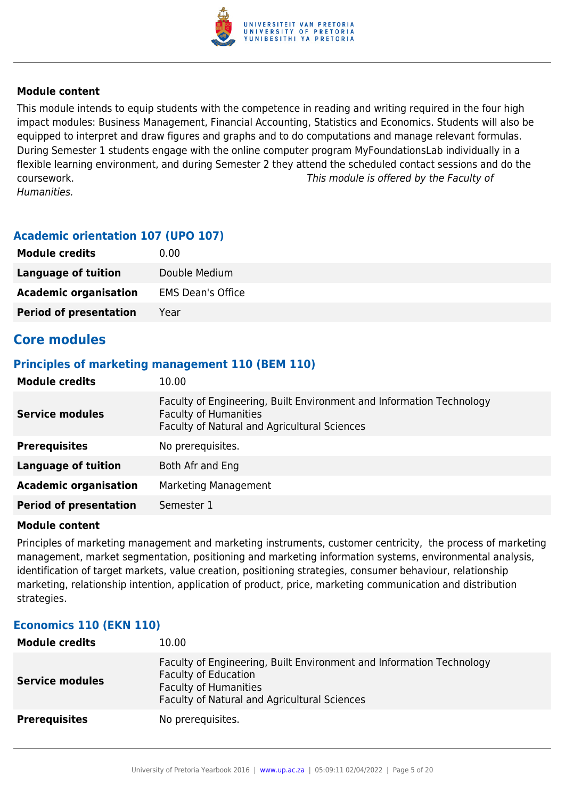

This module intends to equip students with the competence in reading and writing required in the four high impact modules: Business Management, Financial Accounting, Statistics and Economics. Students will also be equipped to interpret and draw figures and graphs and to do computations and manage relevant formulas. During Semester 1 students engage with the online computer program MyFoundationsLab individually in a flexible learning environment, and during Semester 2 they attend the scheduled contact sessions and do the coursework. This module is offered by the Faculty of Humanities.

### **Academic orientation 107 (UPO 107)**

| <b>Module credits</b>         | 0.00                     |
|-------------------------------|--------------------------|
| Language of tuition           | Double Medium            |
| <b>Academic organisation</b>  | <b>EMS Dean's Office</b> |
| <b>Period of presentation</b> | Year                     |

### **Core modules**

### **Principles of marketing management 110 (BEM 110)**

| <b>Module credits</b>         | 10.00                                                                                                                                                |
|-------------------------------|------------------------------------------------------------------------------------------------------------------------------------------------------|
| <b>Service modules</b>        | Faculty of Engineering, Built Environment and Information Technology<br><b>Faculty of Humanities</b><br>Faculty of Natural and Agricultural Sciences |
| <b>Prerequisites</b>          | No prerequisites.                                                                                                                                    |
| <b>Language of tuition</b>    | Both Afr and Eng                                                                                                                                     |
| <b>Academic organisation</b>  | <b>Marketing Management</b>                                                                                                                          |
| <b>Period of presentation</b> | Semester 1                                                                                                                                           |

#### **Module content**

Principles of marketing management and marketing instruments, customer centricity, the process of marketing management, market segmentation, positioning and marketing information systems, environmental analysis, identification of target markets, value creation, positioning strategies, consumer behaviour, relationship marketing, relationship intention, application of product, price, marketing communication and distribution strategies.

### **Economics 110 (EKN 110)**

| <b>Module credits</b>  | 10.00                                                                                                                                                                               |
|------------------------|-------------------------------------------------------------------------------------------------------------------------------------------------------------------------------------|
| <b>Service modules</b> | Faculty of Engineering, Built Environment and Information Technology<br><b>Faculty of Education</b><br><b>Faculty of Humanities</b><br>Faculty of Natural and Agricultural Sciences |
| <b>Prerequisites</b>   | No prerequisites.                                                                                                                                                                   |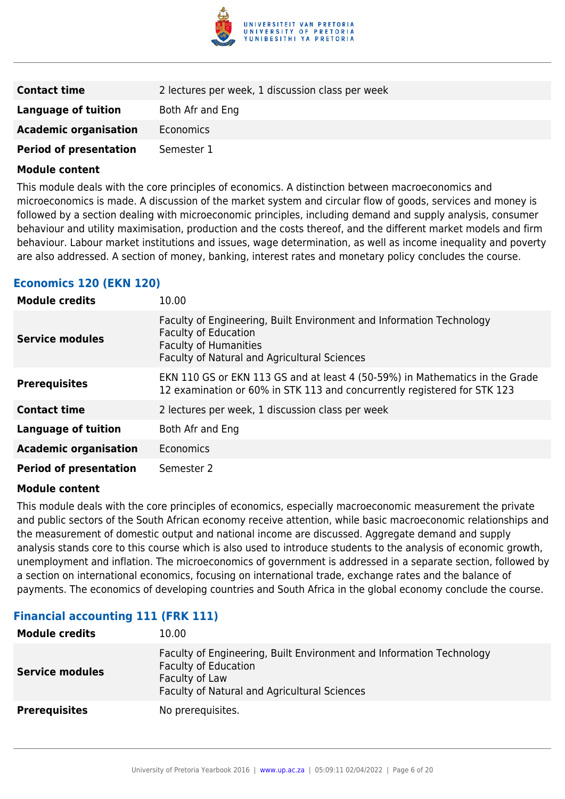

| <b>Contact time</b>           | 2 lectures per week, 1 discussion class per week |
|-------------------------------|--------------------------------------------------|
| Language of tuition           | Both Afr and Eng                                 |
| <b>Academic organisation</b>  | Economics                                        |
| <b>Period of presentation</b> | Semester 1                                       |

This module deals with the core principles of economics. A distinction between macroeconomics and microeconomics is made. A discussion of the market system and circular flow of goods, services and money is followed by a section dealing with microeconomic principles, including demand and supply analysis, consumer behaviour and utility maximisation, production and the costs thereof, and the different market models and firm behaviour. Labour market institutions and issues, wage determination, as well as income inequality and poverty are also addressed. A section of money, banking, interest rates and monetary policy concludes the course.

### **Economics 120 (EKN 120)**

| <b>Module credits</b>         | 10.00                                                                                                                                                                               |
|-------------------------------|-------------------------------------------------------------------------------------------------------------------------------------------------------------------------------------|
| <b>Service modules</b>        | Faculty of Engineering, Built Environment and Information Technology<br><b>Faculty of Education</b><br><b>Faculty of Humanities</b><br>Faculty of Natural and Agricultural Sciences |
| <b>Prerequisites</b>          | EKN 110 GS or EKN 113 GS and at least 4 (50-59%) in Mathematics in the Grade<br>12 examination or 60% in STK 113 and concurrently registered for STK 123                            |
| <b>Contact time</b>           | 2 lectures per week, 1 discussion class per week                                                                                                                                    |
| <b>Language of tuition</b>    | Both Afr and Eng                                                                                                                                                                    |
| <b>Academic organisation</b>  | Economics                                                                                                                                                                           |
| <b>Period of presentation</b> | Semester 2                                                                                                                                                                          |

#### **Module content**

This module deals with the core principles of economics, especially macroeconomic measurement the private and public sectors of the South African economy receive attention, while basic macroeconomic relationships and the measurement of domestic output and national income are discussed. Aggregate demand and supply analysis stands core to this course which is also used to introduce students to the analysis of economic growth, unemployment and inflation. The microeconomics of government is addressed in a separate section, followed by a section on international economics, focusing on international trade, exchange rates and the balance of payments. The economics of developing countries and South Africa in the global economy conclude the course.

| <b>Module credits</b>  | 10.00                                                                                                                                                                 |
|------------------------|-----------------------------------------------------------------------------------------------------------------------------------------------------------------------|
| <b>Service modules</b> | Faculty of Engineering, Built Environment and Information Technology<br><b>Faculty of Education</b><br>Faculty of Law<br>Faculty of Natural and Agricultural Sciences |
| <b>Prerequisites</b>   | No prerequisites.                                                                                                                                                     |

### **Financial accounting 111 (FRK 111)**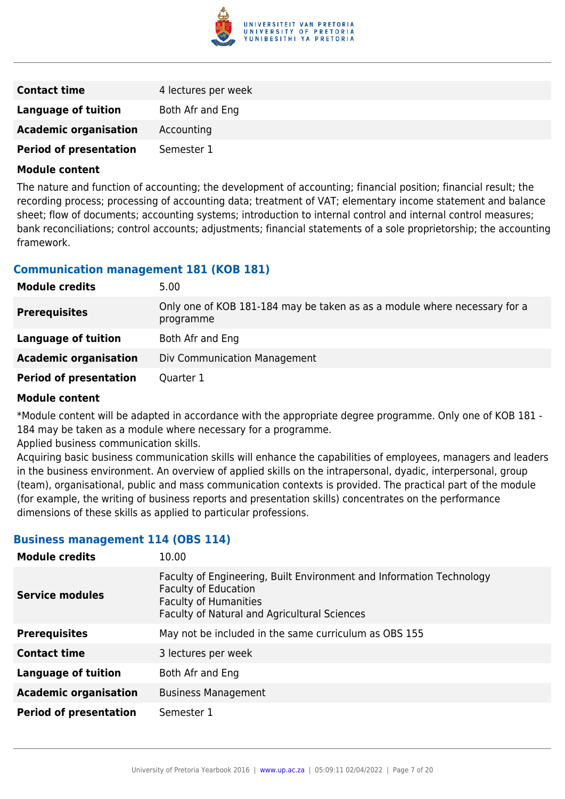

| <b>Contact time</b>           | 4 lectures per week |
|-------------------------------|---------------------|
| Language of tuition           | Both Afr and Eng    |
| <b>Academic organisation</b>  | Accounting          |
| <b>Period of presentation</b> | Semester 1          |

The nature and function of accounting; the development of accounting; financial position; financial result; the recording process; processing of accounting data; treatment of VAT; elementary income statement and balance sheet; flow of documents; accounting systems; introduction to internal control and internal control measures; bank reconciliations; control accounts; adjustments; financial statements of a sole proprietorship; the accounting framework.

### **Communication management 181 (KOB 181)**

| <b>Module credits</b>         | 5.00                                                                                   |
|-------------------------------|----------------------------------------------------------------------------------------|
| <b>Prerequisites</b>          | Only one of KOB 181-184 may be taken as as a module where necessary for a<br>programme |
| Language of tuition           | Both Afr and Eng                                                                       |
| <b>Academic organisation</b>  | Div Communication Management                                                           |
| <b>Period of presentation</b> | Quarter 1                                                                              |

### **Module content**

\*Module content will be adapted in accordance with the appropriate degree programme. Only one of KOB 181 - 184 may be taken as a module where necessary for a programme.

Applied business communication skills.

Acquiring basic business communication skills will enhance the capabilities of employees, managers and leaders in the business environment. An overview of applied skills on the intrapersonal, dyadic, interpersonal, group (team), organisational, public and mass communication contexts is provided. The practical part of the module (for example, the writing of business reports and presentation skills) concentrates on the performance dimensions of these skills as applied to particular professions.

### **Business management 114 (OBS 114)**

| <b>Module credits</b>         | 10.00                                                                                                                                                                               |
|-------------------------------|-------------------------------------------------------------------------------------------------------------------------------------------------------------------------------------|
| <b>Service modules</b>        | Faculty of Engineering, Built Environment and Information Technology<br><b>Faculty of Education</b><br><b>Faculty of Humanities</b><br>Faculty of Natural and Agricultural Sciences |
| <b>Prerequisites</b>          | May not be included in the same curriculum as OBS 155                                                                                                                               |
| <b>Contact time</b>           | 3 lectures per week                                                                                                                                                                 |
| <b>Language of tuition</b>    | Both Afr and Eng                                                                                                                                                                    |
| <b>Academic organisation</b>  | <b>Business Management</b>                                                                                                                                                          |
| <b>Period of presentation</b> | Semester 1                                                                                                                                                                          |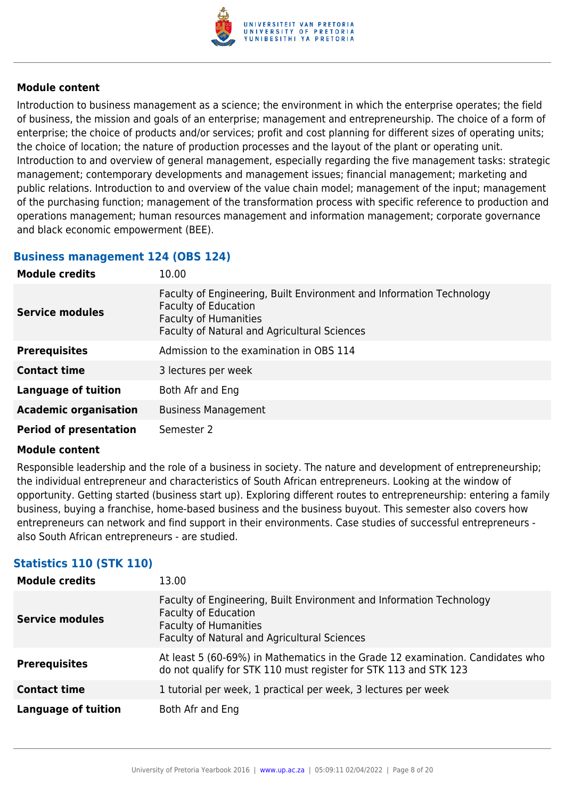

Introduction to business management as a science; the environment in which the enterprise operates; the field of business, the mission and goals of an enterprise; management and entrepreneurship. The choice of a form of enterprise; the choice of products and/or services; profit and cost planning for different sizes of operating units; the choice of location; the nature of production processes and the layout of the plant or operating unit. Introduction to and overview of general management, especially regarding the five management tasks: strategic management; contemporary developments and management issues; financial management; marketing and public relations. Introduction to and overview of the value chain model; management of the input; management of the purchasing function; management of the transformation process with specific reference to production and operations management; human resources management and information management; corporate governance and black economic empowerment (BEE).

### **Business management 124 (OBS 124)**

| <b>Module credits</b>         | 10.00                                                                                                                                                                               |
|-------------------------------|-------------------------------------------------------------------------------------------------------------------------------------------------------------------------------------|
| <b>Service modules</b>        | Faculty of Engineering, Built Environment and Information Technology<br><b>Faculty of Education</b><br><b>Faculty of Humanities</b><br>Faculty of Natural and Agricultural Sciences |
| <b>Prerequisites</b>          | Admission to the examination in OBS 114                                                                                                                                             |
| <b>Contact time</b>           | 3 lectures per week                                                                                                                                                                 |
| <b>Language of tuition</b>    | Both Afr and Eng                                                                                                                                                                    |
| <b>Academic organisation</b>  | <b>Business Management</b>                                                                                                                                                          |
| <b>Period of presentation</b> | Semester 2                                                                                                                                                                          |

### **Module content**

Responsible leadership and the role of a business in society. The nature and development of entrepreneurship; the individual entrepreneur and characteristics of South African entrepreneurs. Looking at the window of opportunity. Getting started (business start up). Exploring different routes to entrepreneurship: entering a family business, buying a franchise, home-based business and the business buyout. This semester also covers how entrepreneurs can network and find support in their environments. Case studies of successful entrepreneurs also South African entrepreneurs - are studied.

### **Statistics 110 (STK 110)**

| <b>Module credits</b>      | 13.00                                                                                                                                                                               |
|----------------------------|-------------------------------------------------------------------------------------------------------------------------------------------------------------------------------------|
| <b>Service modules</b>     | Faculty of Engineering, Built Environment and Information Technology<br><b>Faculty of Education</b><br><b>Faculty of Humanities</b><br>Faculty of Natural and Agricultural Sciences |
| <b>Prerequisites</b>       | At least 5 (60-69%) in Mathematics in the Grade 12 examination. Candidates who<br>do not qualify for STK 110 must register for STK 113 and STK 123                                  |
| <b>Contact time</b>        | 1 tutorial per week, 1 practical per week, 3 lectures per week                                                                                                                      |
| <b>Language of tuition</b> | Both Afr and Eng                                                                                                                                                                    |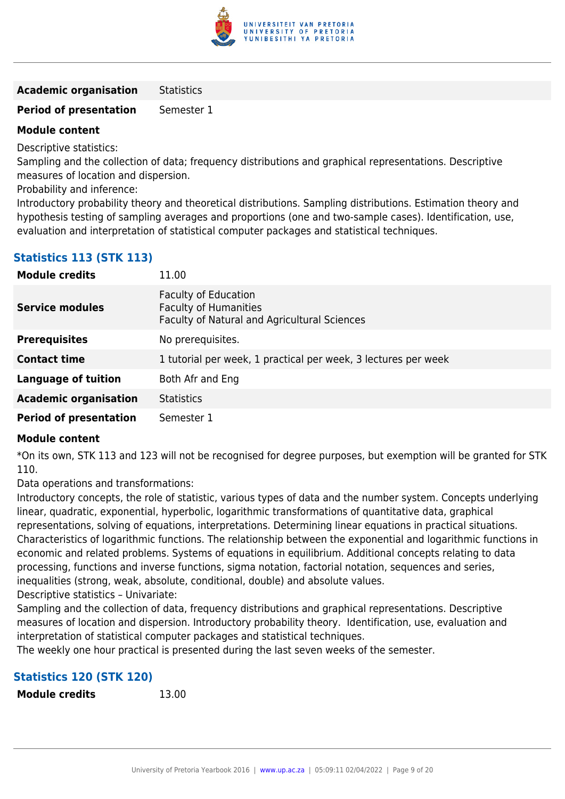

**Academic organisation** Statistics

**Period of presentation** Semester 1

### **Module content**

Descriptive statistics:

Sampling and the collection of data; frequency distributions and graphical representations. Descriptive measures of location and dispersion.

Probability and inference:

Introductory probability theory and theoretical distributions. Sampling distributions. Estimation theory and hypothesis testing of sampling averages and proportions (one and two-sample cases). Identification, use, evaluation and interpretation of statistical computer packages and statistical techniques.

| <b>Statistics 113 (STK 113)</b> |
|---------------------------------|
|---------------------------------|

| <b>Module credits</b>         | 11.00                                                                                                       |
|-------------------------------|-------------------------------------------------------------------------------------------------------------|
| <b>Service modules</b>        | <b>Faculty of Education</b><br><b>Faculty of Humanities</b><br>Faculty of Natural and Agricultural Sciences |
| <b>Prerequisites</b>          | No prerequisites.                                                                                           |
| <b>Contact time</b>           | 1 tutorial per week, 1 practical per week, 3 lectures per week                                              |
| Language of tuition           | Both Afr and Eng                                                                                            |
| <b>Academic organisation</b>  | <b>Statistics</b>                                                                                           |
| <b>Period of presentation</b> | Semester 1                                                                                                  |

### **Module content**

\*On its own, STK 113 and 123 will not be recognised for degree purposes, but exemption will be granted for STK 110.

Data operations and transformations:

Introductory concepts, the role of statistic, various types of data and the number system. Concepts underlying linear, quadratic, exponential, hyperbolic, logarithmic transformations of quantitative data, graphical representations, solving of equations, interpretations. Determining linear equations in practical situations. Characteristics of logarithmic functions. The relationship between the exponential and logarithmic functions in economic and related problems. Systems of equations in equilibrium. Additional concepts relating to data processing, functions and inverse functions, sigma notation, factorial notation, sequences and series, inequalities (strong, weak, absolute, conditional, double) and absolute values.

Descriptive statistics – Univariate:

Sampling and the collection of data, frequency distributions and graphical representations. Descriptive measures of location and dispersion. Introductory probability theory. Identification, use, evaluation and interpretation of statistical computer packages and statistical techniques.

The weekly one hour practical is presented during the last seven weeks of the semester.

### **Statistics 120 (STK 120)**

**Module credits** 13.00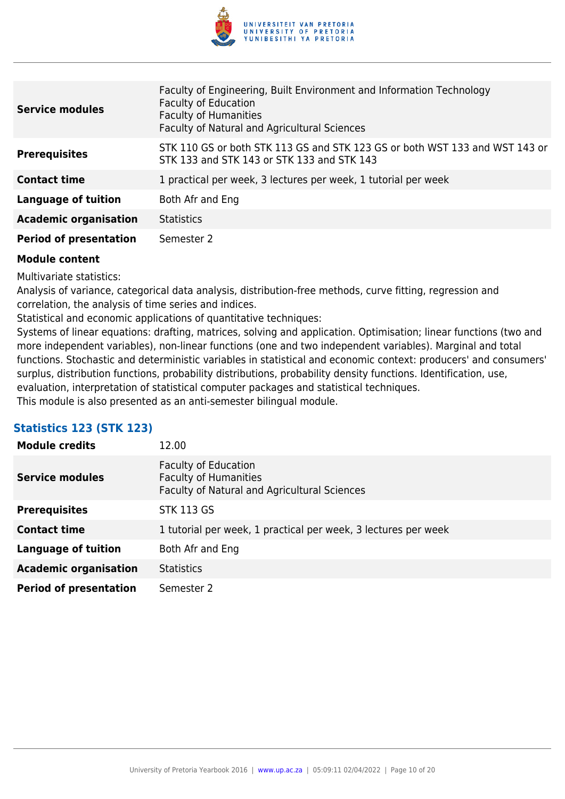

| <b>Service modules</b>        | Faculty of Engineering, Built Environment and Information Technology<br><b>Faculty of Education</b><br><b>Faculty of Humanities</b><br>Faculty of Natural and Agricultural Sciences |
|-------------------------------|-------------------------------------------------------------------------------------------------------------------------------------------------------------------------------------|
| <b>Prerequisites</b>          | STK 110 GS or both STK 113 GS and STK 123 GS or both WST 133 and WST 143 or<br>STK 133 and STK 143 or STK 133 and STK 143                                                           |
| <b>Contact time</b>           | 1 practical per week, 3 lectures per week, 1 tutorial per week                                                                                                                      |
| Language of tuition           | Both Afr and Eng                                                                                                                                                                    |
| <b>Academic organisation</b>  | <b>Statistics</b>                                                                                                                                                                   |
| <b>Period of presentation</b> | Semester 2                                                                                                                                                                          |

Multivariate statistics:

Analysis of variance, categorical data analysis, distribution-free methods, curve fitting, regression and correlation, the analysis of time series and indices.

Statistical and economic applications of quantitative techniques:

Systems of linear equations: drafting, matrices, solving and application. Optimisation; linear functions (two and more independent variables), non-linear functions (one and two independent variables). Marginal and total functions. Stochastic and deterministic variables in statistical and economic context: producers' and consumers' surplus, distribution functions, probability distributions, probability density functions. Identification, use, evaluation, interpretation of statistical computer packages and statistical techniques. This module is also presented as an anti-semester bilingual module.

### **Statistics 123 (STK 123)**

| <b>Module credits</b>         | 12.00                                                                                                       |
|-------------------------------|-------------------------------------------------------------------------------------------------------------|
| <b>Service modules</b>        | <b>Faculty of Education</b><br><b>Faculty of Humanities</b><br>Faculty of Natural and Agricultural Sciences |
| <b>Prerequisites</b>          | <b>STK 113 GS</b>                                                                                           |
| <b>Contact time</b>           | 1 tutorial per week, 1 practical per week, 3 lectures per week                                              |
| <b>Language of tuition</b>    | Both Afr and Eng                                                                                            |
| <b>Academic organisation</b>  | <b>Statistics</b>                                                                                           |
| <b>Period of presentation</b> | Semester 2                                                                                                  |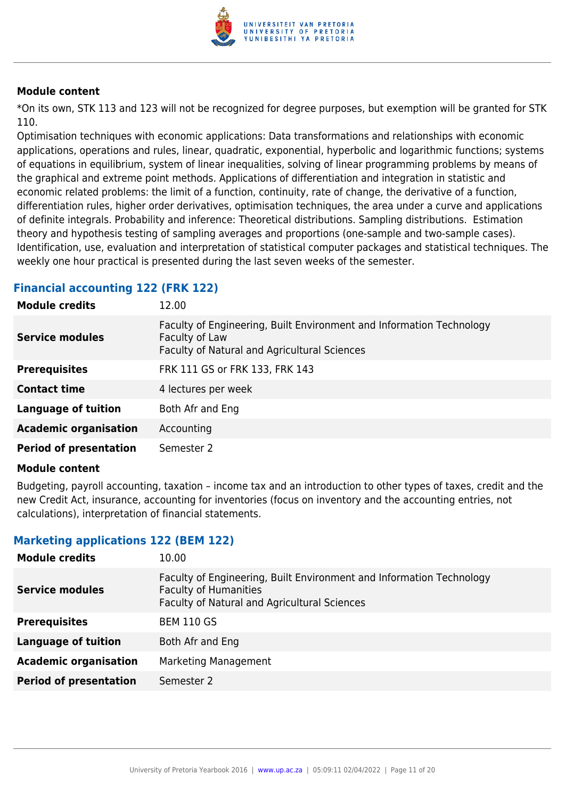

\*On its own, STK 113 and 123 will not be recognized for degree purposes, but exemption will be granted for STK 110.

Optimisation techniques with economic applications: Data transformations and relationships with economic applications, operations and rules, linear, quadratic, exponential, hyperbolic and logarithmic functions; systems of equations in equilibrium, system of linear inequalities, solving of linear programming problems by means of the graphical and extreme point methods. Applications of differentiation and integration in statistic and economic related problems: the limit of a function, continuity, rate of change, the derivative of a function, differentiation rules, higher order derivatives, optimisation techniques, the area under a curve and applications of definite integrals. Probability and inference: Theoretical distributions. Sampling distributions. Estimation theory and hypothesis testing of sampling averages and proportions (one-sample and two-sample cases). Identification, use, evaluation and interpretation of statistical computer packages and statistical techniques. The weekly one hour practical is presented during the last seven weeks of the semester.

### **Financial accounting 122 (FRK 122)**

| <b>Module credits</b>         | 12.00                                                                                                                                         |
|-------------------------------|-----------------------------------------------------------------------------------------------------------------------------------------------|
| <b>Service modules</b>        | Faculty of Engineering, Built Environment and Information Technology<br>Faculty of Law<br><b>Faculty of Natural and Agricultural Sciences</b> |
| <b>Prerequisites</b>          | FRK 111 GS or FRK 133, FRK 143                                                                                                                |
| <b>Contact time</b>           | 4 lectures per week                                                                                                                           |
| <b>Language of tuition</b>    | Both Afr and Eng                                                                                                                              |
| <b>Academic organisation</b>  | Accounting                                                                                                                                    |
| <b>Period of presentation</b> | Semester 2                                                                                                                                    |

#### **Module content**

Budgeting, payroll accounting, taxation – income tax and an introduction to other types of taxes, credit and the new Credit Act, insurance, accounting for inventories (focus on inventory and the accounting entries, not calculations), interpretation of financial statements.

### **Marketing applications 122 (BEM 122)**

| <b>Module credits</b>         | 10.00                                                                                                                                                |
|-------------------------------|------------------------------------------------------------------------------------------------------------------------------------------------------|
| <b>Service modules</b>        | Faculty of Engineering, Built Environment and Information Technology<br><b>Faculty of Humanities</b><br>Faculty of Natural and Agricultural Sciences |
| <b>Prerequisites</b>          | <b>BEM 110 GS</b>                                                                                                                                    |
| Language of tuition           | Both Afr and Eng                                                                                                                                     |
| <b>Academic organisation</b>  | Marketing Management                                                                                                                                 |
| <b>Period of presentation</b> | Semester 2                                                                                                                                           |
|                               |                                                                                                                                                      |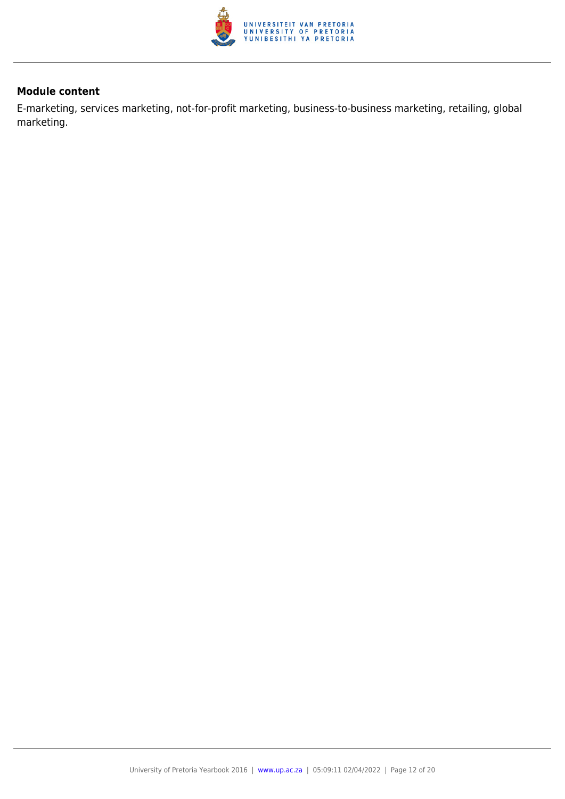

E-marketing, services marketing, not-for-profit marketing, business-to-business marketing, retailing, global marketing.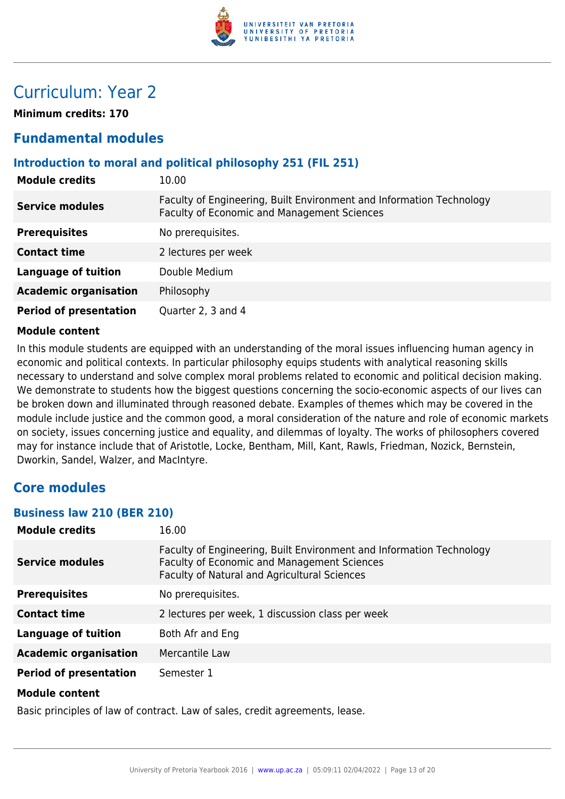

# Curriculum: Year 2

**Minimum credits: 170**

### **Fundamental modules**

### **Introduction to moral and political philosophy 251 (FIL 251)**

| <b>Module credits</b>         | 10.00                                                                                                               |
|-------------------------------|---------------------------------------------------------------------------------------------------------------------|
| <b>Service modules</b>        | Faculty of Engineering, Built Environment and Information Technology<br>Faculty of Economic and Management Sciences |
| <b>Prerequisites</b>          | No prerequisites.                                                                                                   |
| <b>Contact time</b>           | 2 lectures per week                                                                                                 |
| <b>Language of tuition</b>    | Double Medium                                                                                                       |
| <b>Academic organisation</b>  | Philosophy                                                                                                          |
| <b>Period of presentation</b> | Quarter 2, 3 and 4                                                                                                  |

### **Module content**

In this module students are equipped with an understanding of the moral issues influencing human agency in economic and political contexts. In particular philosophy equips students with analytical reasoning skills necessary to understand and solve complex moral problems related to economic and political decision making. We demonstrate to students how the biggest questions concerning the socio-economic aspects of our lives can be broken down and illuminated through reasoned debate. Examples of themes which may be covered in the module include justice and the common good, a moral consideration of the nature and role of economic markets on society, issues concerning justice and equality, and dilemmas of loyalty. The works of philosophers covered may for instance include that of Aristotle, Locke, Bentham, Mill, Kant, Rawls, Friedman, Nozick, Bernstein, Dworkin, Sandel, Walzer, and MacIntyre.

### **Core modules**

### **Business law 210 (BER 210)**

| <b>Module credits</b>         | 16.00                                                                                                                                                               |
|-------------------------------|---------------------------------------------------------------------------------------------------------------------------------------------------------------------|
| <b>Service modules</b>        | Faculty of Engineering, Built Environment and Information Technology<br>Faculty of Economic and Management Sciences<br>Faculty of Natural and Agricultural Sciences |
| <b>Prerequisites</b>          | No prerequisites.                                                                                                                                                   |
| <b>Contact time</b>           | 2 lectures per week, 1 discussion class per week                                                                                                                    |
| <b>Language of tuition</b>    | Both Afr and Eng                                                                                                                                                    |
| <b>Academic organisation</b>  | Mercantile Law                                                                                                                                                      |
| <b>Period of presentation</b> | Semester 1                                                                                                                                                          |
| <b>Module content</b>         |                                                                                                                                                                     |

Basic principles of law of contract. Law of sales, credit agreements, lease.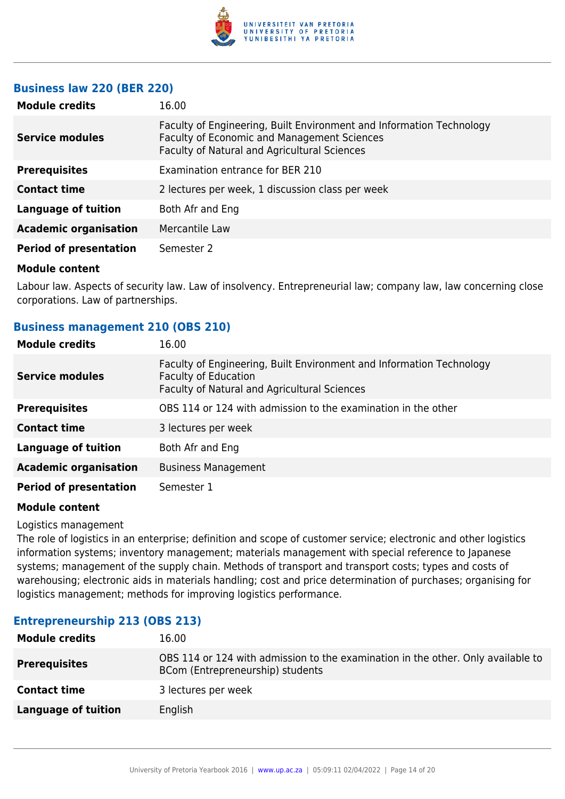

### **Business law 220 (BER 220)**

| <b>Module credits</b>         | 16.00                                                                                                                                                                      |
|-------------------------------|----------------------------------------------------------------------------------------------------------------------------------------------------------------------------|
| <b>Service modules</b>        | Faculty of Engineering, Built Environment and Information Technology<br>Faculty of Economic and Management Sciences<br><b>Faculty of Natural and Agricultural Sciences</b> |
| <b>Prerequisites</b>          | Examination entrance for BER 210                                                                                                                                           |
| <b>Contact time</b>           | 2 lectures per week, 1 discussion class per week                                                                                                                           |
| <b>Language of tuition</b>    | Both Afr and Eng                                                                                                                                                           |
| <b>Academic organisation</b>  | Mercantile Law                                                                                                                                                             |
| <b>Period of presentation</b> | Semester 2                                                                                                                                                                 |
|                               |                                                                                                                                                                            |

#### **Module content**

Labour law. Aspects of security law. Law of insolvency. Entrepreneurial law; company law, law concerning close corporations. Law of partnerships.

### **Business management 210 (OBS 210)**

| <b>Module credits</b>         | 16.00                                                                                                                                               |
|-------------------------------|-----------------------------------------------------------------------------------------------------------------------------------------------------|
| <b>Service modules</b>        | Faculty of Engineering, Built Environment and Information Technology<br><b>Faculty of Education</b><br>Faculty of Natural and Agricultural Sciences |
| <b>Prerequisites</b>          | OBS 114 or 124 with admission to the examination in the other                                                                                       |
| <b>Contact time</b>           | 3 lectures per week                                                                                                                                 |
| <b>Language of tuition</b>    | Both Afr and Eng                                                                                                                                    |
| <b>Academic organisation</b>  | <b>Business Management</b>                                                                                                                          |
| <b>Period of presentation</b> | Semester 1                                                                                                                                          |

#### **Module content**

Logistics management

The role of logistics in an enterprise; definition and scope of customer service; electronic and other logistics information systems; inventory management; materials management with special reference to Japanese systems; management of the supply chain. Methods of transport and transport costs; types and costs of warehousing; electronic aids in materials handling; cost and price determination of purchases; organising for logistics management; methods for improving logistics performance.

### **Entrepreneurship 213 (OBS 213)**

| <b>Module credits</b> | 16.00                                                                                                                |
|-----------------------|----------------------------------------------------------------------------------------------------------------------|
| <b>Prerequisites</b>  | OBS 114 or 124 with admission to the examination in the other. Only available to<br>BCom (Entrepreneurship) students |
| <b>Contact time</b>   | 3 lectures per week                                                                                                  |
| Language of tuition   | English                                                                                                              |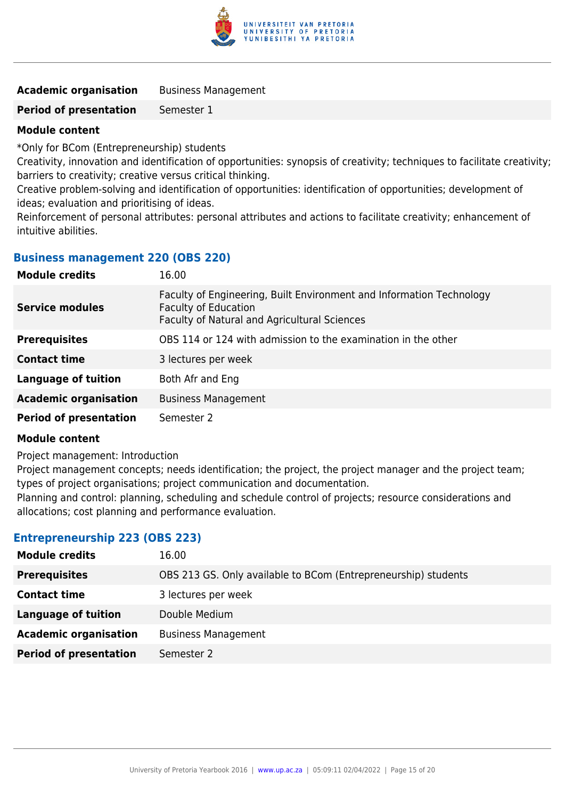

| <b>Academic organisation</b> | <b>Business Management</b> |
|------------------------------|----------------------------|
|------------------------------|----------------------------|

**Period of presentation** Semester 1

### **Module content**

\*Only for BCom (Entrepreneurship) students

Creativity, innovation and identification of opportunities: synopsis of creativity; techniques to facilitate creativity; barriers to creativity; creative versus critical thinking.

Creative problem-solving and identification of opportunities: identification of opportunities; development of ideas; evaluation and prioritising of ideas.

Reinforcement of personal attributes: personal attributes and actions to facilitate creativity; enhancement of intuitive abilities.

### **Business management 220 (OBS 220)**

| <b>Module credits</b>         | 16.00                                                                                                                                               |
|-------------------------------|-----------------------------------------------------------------------------------------------------------------------------------------------------|
| <b>Service modules</b>        | Faculty of Engineering, Built Environment and Information Technology<br><b>Faculty of Education</b><br>Faculty of Natural and Agricultural Sciences |
| <b>Prerequisites</b>          | OBS 114 or 124 with admission to the examination in the other                                                                                       |
| <b>Contact time</b>           | 3 lectures per week                                                                                                                                 |
| <b>Language of tuition</b>    | Both Afr and Eng                                                                                                                                    |
| <b>Academic organisation</b>  | <b>Business Management</b>                                                                                                                          |
| <b>Period of presentation</b> | Semester 2                                                                                                                                          |

#### **Module content**

Project management: Introduction

Project management concepts; needs identification; the project, the project manager and the project team; types of project organisations; project communication and documentation.

Planning and control: planning, scheduling and schedule control of projects; resource considerations and allocations; cost planning and performance evaluation.

### **Entrepreneurship 223 (OBS 223)**

| <b>Module credits</b>         | 16.00                                                          |
|-------------------------------|----------------------------------------------------------------|
| <b>Prerequisites</b>          | OBS 213 GS. Only available to BCom (Entrepreneurship) students |
| <b>Contact time</b>           | 3 lectures per week                                            |
| <b>Language of tuition</b>    | Double Medium                                                  |
| <b>Academic organisation</b>  | <b>Business Management</b>                                     |
| <b>Period of presentation</b> | Semester 2                                                     |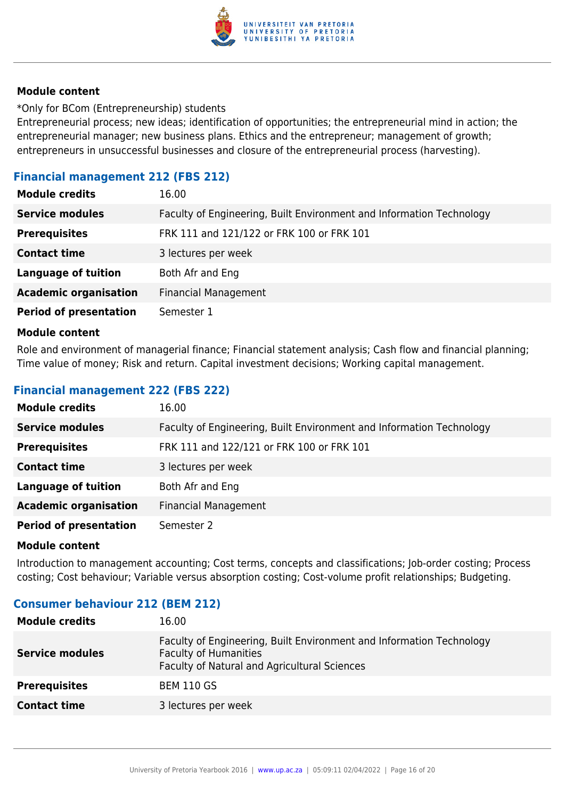

\*Only for BCom (Entrepreneurship) students

Entrepreneurial process; new ideas; identification of opportunities; the entrepreneurial mind in action; the entrepreneurial manager; new business plans. Ethics and the entrepreneur; management of growth; entrepreneurs in unsuccessful businesses and closure of the entrepreneurial process (harvesting).

### **Financial management 212 (FBS 212)**

| <b>Module credits</b>         | 16.00                                                                |
|-------------------------------|----------------------------------------------------------------------|
| <b>Service modules</b>        | Faculty of Engineering, Built Environment and Information Technology |
| <b>Prerequisites</b>          | FRK 111 and 121/122 or FRK 100 or FRK 101                            |
| <b>Contact time</b>           | 3 lectures per week                                                  |
| <b>Language of tuition</b>    | Both Afr and Eng                                                     |
| <b>Academic organisation</b>  | <b>Financial Management</b>                                          |
| <b>Period of presentation</b> | Semester 1                                                           |

### **Module content**

Role and environment of managerial finance; Financial statement analysis; Cash flow and financial planning; Time value of money; Risk and return. Capital investment decisions; Working capital management.

### **Financial management 222 (FBS 222)**

| <b>Module credits</b>         | 16.00                                                                |
|-------------------------------|----------------------------------------------------------------------|
| <b>Service modules</b>        | Faculty of Engineering, Built Environment and Information Technology |
| <b>Prerequisites</b>          | FRK 111 and 122/121 or FRK 100 or FRK 101                            |
| <b>Contact time</b>           | 3 lectures per week                                                  |
| <b>Language of tuition</b>    | Both Afr and Eng                                                     |
| <b>Academic organisation</b>  | <b>Financial Management</b>                                          |
| <b>Period of presentation</b> | Semester 2                                                           |

#### **Module content**

Introduction to management accounting; Cost terms, concepts and classifications; Job-order costing; Process costing; Cost behaviour; Variable versus absorption costing; Cost-volume profit relationships; Budgeting.

### **Consumer behaviour 212 (BEM 212)**

| <b>Module credits</b>  | 16.00                                                                                                                                                |
|------------------------|------------------------------------------------------------------------------------------------------------------------------------------------------|
| <b>Service modules</b> | Faculty of Engineering, Built Environment and Information Technology<br><b>Faculty of Humanities</b><br>Faculty of Natural and Agricultural Sciences |
| <b>Prerequisites</b>   | <b>BEM 110 GS</b>                                                                                                                                    |
| <b>Contact time</b>    | 3 lectures per week                                                                                                                                  |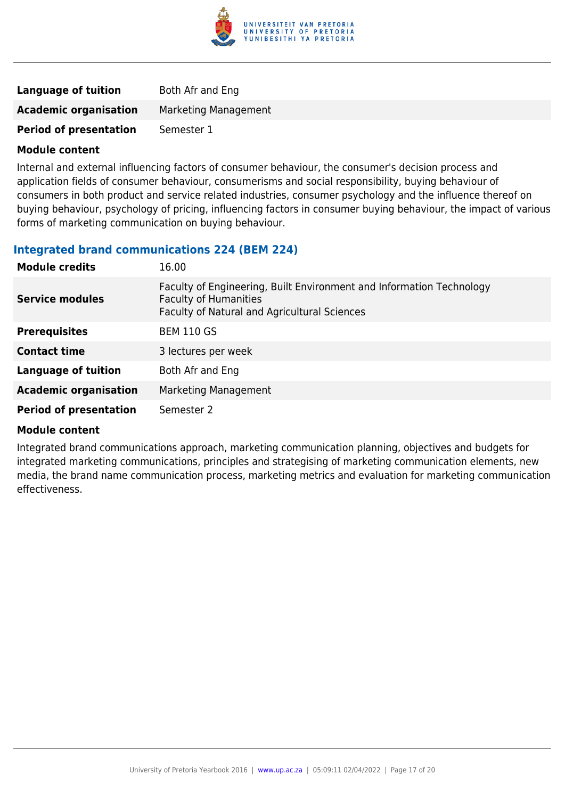

| <b>Language of tuition</b>    | Both Afr and Eng     |
|-------------------------------|----------------------|
| <b>Academic organisation</b>  | Marketing Management |
| <b>Period of presentation</b> | Semester 1           |

Internal and external influencing factors of consumer behaviour, the consumer's decision process and application fields of consumer behaviour, consumerisms and social responsibility, buying behaviour of consumers in both product and service related industries, consumer psychology and the influence thereof on buying behaviour, psychology of pricing, influencing factors in consumer buying behaviour, the impact of various forms of marketing communication on buying behaviour.

### **Integrated brand communications 224 (BEM 224)**

| <b>Module credits</b>         | 16.00                                                                                                                                                |
|-------------------------------|------------------------------------------------------------------------------------------------------------------------------------------------------|
| <b>Service modules</b>        | Faculty of Engineering, Built Environment and Information Technology<br><b>Faculty of Humanities</b><br>Faculty of Natural and Agricultural Sciences |
| <b>Prerequisites</b>          | <b>BEM 110 GS</b>                                                                                                                                    |
| <b>Contact time</b>           | 3 lectures per week                                                                                                                                  |
| <b>Language of tuition</b>    | Both Afr and Eng                                                                                                                                     |
| <b>Academic organisation</b>  | Marketing Management                                                                                                                                 |
| <b>Period of presentation</b> | Semester 2                                                                                                                                           |

#### **Module content**

Integrated brand communications approach, marketing communication planning, objectives and budgets for integrated marketing communications, principles and strategising of marketing communication elements, new media, the brand name communication process, marketing metrics and evaluation for marketing communication effectiveness.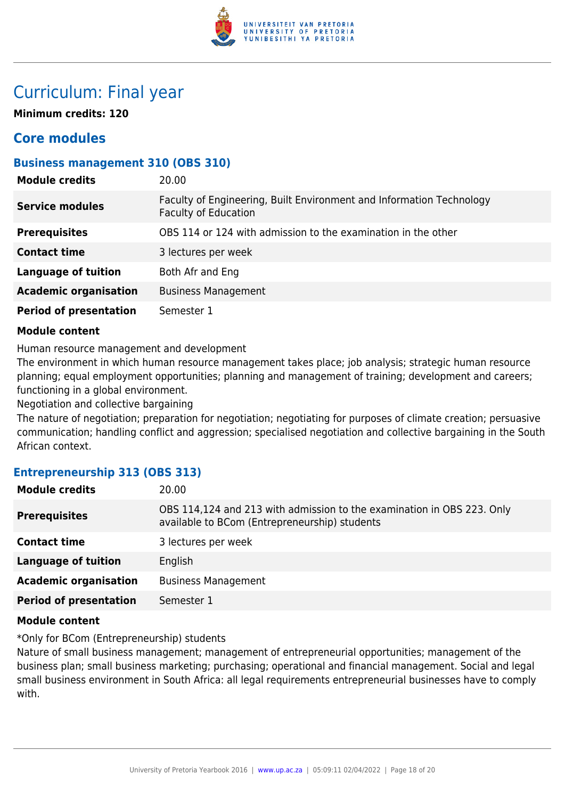

# Curriculum: Final year

**Minimum credits: 120**

### **Core modules**

### **Business management 310 (OBS 310)**

| <b>Module credits</b>         | 20.00                                                                                               |
|-------------------------------|-----------------------------------------------------------------------------------------------------|
| <b>Service modules</b>        | Faculty of Engineering, Built Environment and Information Technology<br><b>Faculty of Education</b> |
| <b>Prerequisites</b>          | OBS 114 or 124 with admission to the examination in the other                                       |
| <b>Contact time</b>           | 3 lectures per week                                                                                 |
| <b>Language of tuition</b>    | Both Afr and Eng                                                                                    |
| <b>Academic organisation</b>  | <b>Business Management</b>                                                                          |
| <b>Period of presentation</b> | Semester 1                                                                                          |

### **Module content**

Human resource management and development

The environment in which human resource management takes place; job analysis; strategic human resource planning; equal employment opportunities; planning and management of training; development and careers; functioning in a global environment.

Negotiation and collective bargaining

The nature of negotiation; preparation for negotiation; negotiating for purposes of climate creation; persuasive communication; handling conflict and aggression; specialised negotiation and collective bargaining in the South African context.

### **Entrepreneurship 313 (OBS 313)**

| <b>Module credits</b>         | 20.00                                                                                                                   |
|-------------------------------|-------------------------------------------------------------------------------------------------------------------------|
| <b>Prerequisites</b>          | OBS 114,124 and 213 with admission to the examination in OBS 223. Only<br>available to BCom (Entrepreneurship) students |
| <b>Contact time</b>           | 3 lectures per week                                                                                                     |
| <b>Language of tuition</b>    | English                                                                                                                 |
| <b>Academic organisation</b>  | <b>Business Management</b>                                                                                              |
| <b>Period of presentation</b> | Semester 1                                                                                                              |
|                               |                                                                                                                         |

### **Module content**

\*Only for BCom (Entrepreneurship) students

Nature of small business management; management of entrepreneurial opportunities; management of the business plan; small business marketing; purchasing; operational and financial management. Social and legal small business environment in South Africa: all legal requirements entrepreneurial businesses have to comply with.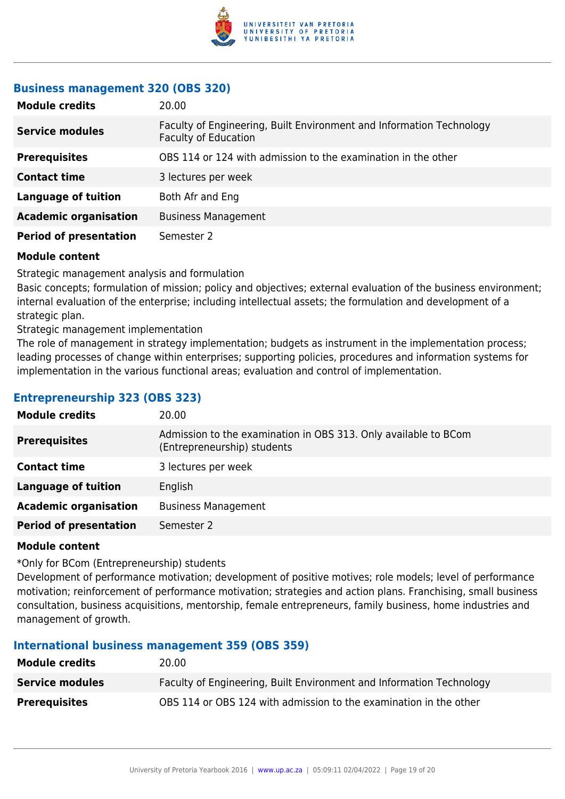

### **Business management 320 (OBS 320)**

| <b>Module credits</b>         | 20.00                                                                                               |
|-------------------------------|-----------------------------------------------------------------------------------------------------|
| <b>Service modules</b>        | Faculty of Engineering, Built Environment and Information Technology<br><b>Faculty of Education</b> |
| <b>Prerequisites</b>          | OBS 114 or 124 with admission to the examination in the other                                       |
| <b>Contact time</b>           | 3 lectures per week                                                                                 |
| <b>Language of tuition</b>    | Both Afr and Eng                                                                                    |
| <b>Academic organisation</b>  | <b>Business Management</b>                                                                          |
| <b>Period of presentation</b> | Semester 2                                                                                          |

### **Module content**

Strategic management analysis and formulation

Basic concepts; formulation of mission; policy and objectives; external evaluation of the business environment; internal evaluation of the enterprise; including intellectual assets; the formulation and development of a strategic plan.

Strategic management implementation

The role of management in strategy implementation; budgets as instrument in the implementation process; leading processes of change within enterprises; supporting policies, procedures and information systems for implementation in the various functional areas; evaluation and control of implementation.

### **Entrepreneurship 323 (OBS 323)**

| <b>Module credits</b>         | 20.00                                                                                          |
|-------------------------------|------------------------------------------------------------------------------------------------|
| <b>Prerequisites</b>          | Admission to the examination in OBS 313. Only available to BCom<br>(Entrepreneurship) students |
| <b>Contact time</b>           | 3 lectures per week                                                                            |
| <b>Language of tuition</b>    | English                                                                                        |
| <b>Academic organisation</b>  | <b>Business Management</b>                                                                     |
| <b>Period of presentation</b> | Semester 2                                                                                     |

#### **Module content**

\*Only for BCom (Entrepreneurship) students

Development of performance motivation; development of positive motives; role models; level of performance motivation; reinforcement of performance motivation; strategies and action plans. Franchising, small business consultation, business acquisitions, mentorship, female entrepreneurs, family business, home industries and management of growth.

### **International business management 359 (OBS 359)**

| Module credits         | 20.00                                                                |
|------------------------|----------------------------------------------------------------------|
| <b>Service modules</b> | Faculty of Engineering, Built Environment and Information Technology |
| <b>Prerequisites</b>   | OBS 114 or OBS 124 with admission to the examination in the other    |